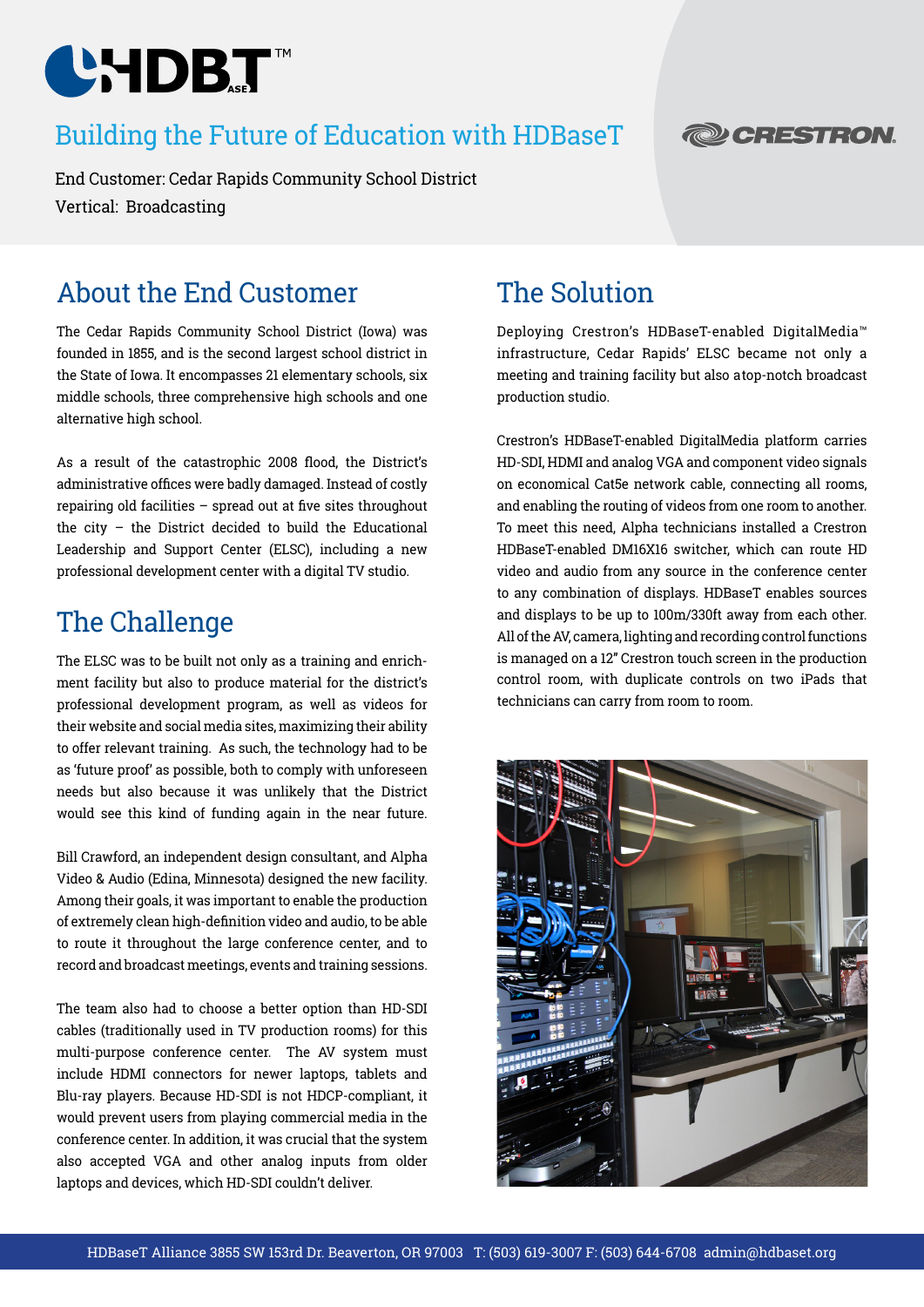

### Building the Future of Education with HDBaseT

End Customer: Cedar Rapids Community School District Vertical: Broadcasting

## About the End Customer

The Cedar Rapids Community School District (Iowa) was founded in 1855, and is the second largest school district in the State of Iowa. It encompasses 21 elementary schools, six middle schools, three comprehensive high schools and one alternative high school.

As a result of the catastrophic 2008 flood, the District's administrative offices were badly damaged. Instead of costly repairing old facilities – spread out at five sites throughout the city – the District decided to build the Educational Leadership and Support Center (ELSC), including a new professional development center with a digital TV studio.

### The Challenge

The ELSC was to be built not only as a training and enrichment facility but also to produce material for the district's professional development program, as well as videos for their website and social media sites, maximizing their ability to offer relevant training. As such, the technology had to be as 'future proof' as possible, both to comply with unforeseen needs but also because it was unlikely that the District would see this kind of funding again in the near future.

Bill Crawford, an independent design consultant, and Alpha Video & Audio (Edina, Minnesota) designed the new facility. Among their goals, it was important to enable the production of extremely clean high-definition video and audio, to be able to route it throughout the large conference center, and to record and broadcast meetings, events and training sessions.

The team also had to choose a better option than HD-SDI cables (traditionally used in TV production rooms) for this multi-purpose conference center. The AV system must include HDMI connectors for newer laptops, tablets and Blu-ray players. Because HD-SDI is not HDCP-compliant, it would prevent users from playing commercial media in the conference center. In addition, it was crucial that the system also accepted VGA and other analog inputs from older laptops and devices, which HD-SDI couldn't deliver.

## The Solution

Deploying Crestron's HDBaseT-enabled DigitalMedia™ infrastructure, Cedar Rapids' ELSC became not only a meeting and training facility but also a top-notch broadcast production studio.

Crestron's HDBaseT-enabled DigitalMedia platform carries HD-SDI, HDMI and analog VGA and component video signals on economical Cat5e network cable, connecting all rooms, and enabling the routing of videos from one room to another. To meet this need, Alpha technicians installed a Crestron HDBaseT-enabled DM16X16 switcher, which can route HD video and audio from any source in the conference center to any combination of displays. HDBaseT enables sources and displays to be up to 100m/330ft away from each other. All of the AV, camera, lighting and recording control functions is managed on a 12" Crestron touch screen in the production control room, with duplicate controls on two iPads that technicians can carry from room to room.